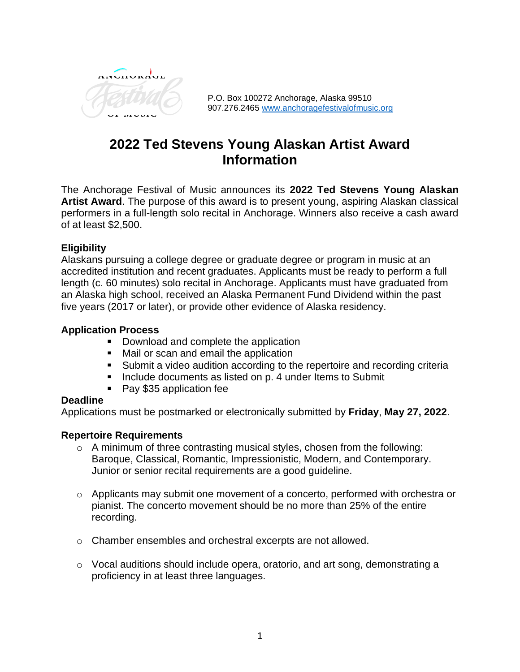

P.O. Box 100272 Anchorage, Alaska 99510 907.276.2465 [www.anchoragefestivalofmusic.org](http://www.anchoragefestivalofmusic.org/)

# **2022 Ted Stevens Young Alaskan Artist Award Information**

The Anchorage Festival of Music announces its **2022 Ted Stevens Young Alaskan Artist Award**. The purpose of this award is to present young, aspiring Alaskan classical performers in a full-length solo recital in Anchorage. Winners also receive a cash award of at least \$2,500.

# **Eligibility**

Alaskans pursuing a college degree or graduate degree or program in music at an accredited institution and recent graduates. Applicants must be ready to perform a full length (c. 60 minutes) solo recital in Anchorage. Applicants must have graduated from an Alaska high school, received an Alaska Permanent Fund Dividend within the past five years (2017 or later), or provide other evidence of Alaska residency.

# **Application Process**

- Download and complete the application
- Mail or scan and email the application
- Submit a video audition according to the repertoire and recording criteria
- Include documents as listed on p. 4 under Items to Submit
- Pay \$35 application fee

# **Deadline**

Applications must be postmarked or electronically submitted by **Friday**, **May 27, 2022**.

#### **Repertoire Requirements**

- o A minimum of three contrasting musical styles, chosen from the following: Baroque, Classical, Romantic, Impressionistic, Modern, and Contemporary. Junior or senior recital requirements are a good guideline.
- o Applicants may submit one movement of a concerto, performed with orchestra or pianist. The concerto movement should be no more than 25% of the entire recording.
- o Chamber ensembles and orchestral excerpts are not allowed.
- o Vocal auditions should include opera, oratorio, and art song, demonstrating a proficiency in at least three languages.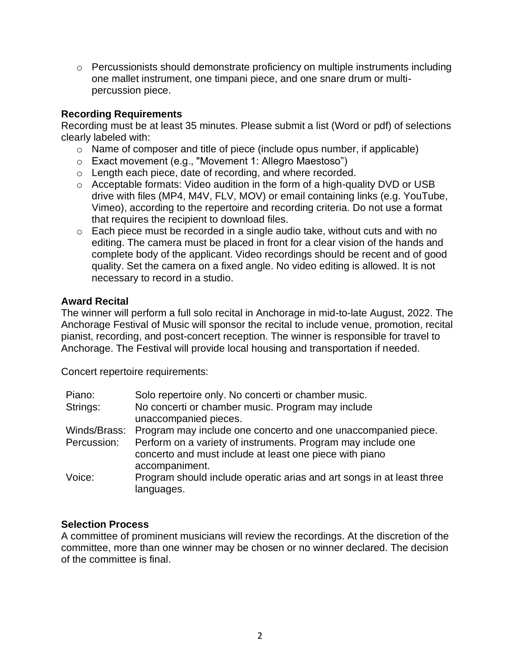$\circ$  Percussionists should demonstrate proficiency on multiple instruments including one mallet instrument, one timpani piece, and one snare drum or multipercussion piece.

# **Recording Requirements**

Recording must be at least 35 minutes. Please submit a list (Word or pdf) of selections clearly labeled with:

- o Name of composer and title of piece (include opus number, if applicable)
- o Exact movement (e.g., "Movement 1: Allegro Maestoso")
- o Length each piece, date of recording, and where recorded.
- o Acceptable formats: Video audition in the form of a high-quality DVD or USB drive with files (MP4, M4V, FLV, MOV) or email containing links (e.g. YouTube, Vimeo), according to the repertoire and recording criteria. Do not use a format that requires the recipient to download files.
- o Each piece must be recorded in a single audio take, without cuts and with no editing. The camera must be placed in front for a clear vision of the hands and complete body of the applicant. Video recordings should be recent and of good quality. Set the camera on a fixed angle. No video editing is allowed. It is not necessary to record in a studio.

# **Award Recital**

The winner will perform a full solo recital in Anchorage in mid-to-late August, 2022. The Anchorage Festival of Music will sponsor the recital to include venue, promotion, recital pianist, recording, and post-concert reception. The winner is responsible for travel to Anchorage. The Festival will provide local housing and transportation if needed.

Concert repertoire requirements:

| Piano:      | Solo repertoire only. No concerti or chamber music.                                 |
|-------------|-------------------------------------------------------------------------------------|
| Strings:    | No concerti or chamber music. Program may include                                   |
|             | unaccompanied pieces.                                                               |
|             | Winds/Brass: Program may include one concerto and one unaccompanied piece.          |
| Percussion: | Perform on a variety of instruments. Program may include one                        |
|             | concerto and must include at least one piece with piano                             |
|             | accompaniment.                                                                      |
| Voice:      | Program should include operatic arias and art songs in at least three<br>languages. |

# **Selection Process**

A committee of prominent musicians will review the recordings. At the discretion of the committee, more than one winner may be chosen or no winner declared. The decision of the committee is final.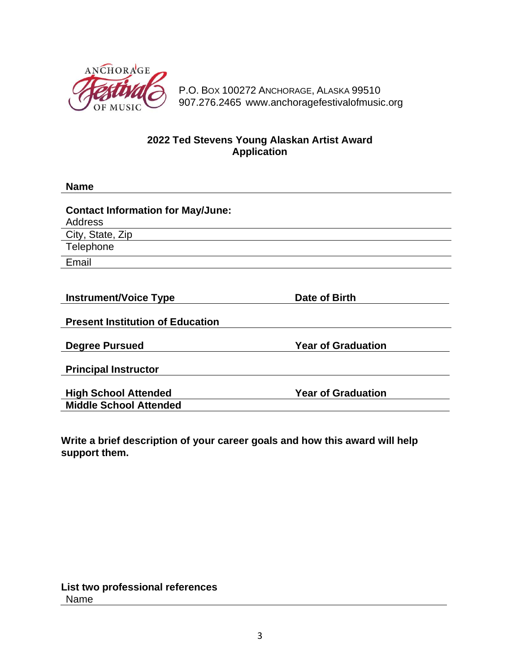

P.O. BOX 100272 ANCHORAGE, ALASKA 99510 907.276.2465 www.anchoragefestivalofmusic.org

# **2022 Ted Stevens Young Alaskan Artist Award Application**

| <b>Name</b>                                                                    |                           |
|--------------------------------------------------------------------------------|---------------------------|
| <b>Contact Information for May/June:</b><br><b>Address</b><br>City, State, Zip |                           |
| Telephone                                                                      |                           |
| Email                                                                          |                           |
| <b>Instrument/Voice Type</b><br><b>Present Institution of Education</b>        | Date of Birth             |
| <b>Degree Pursued</b><br><b>Principal Instructor</b>                           | <b>Year of Graduation</b> |
| <b>High School Attended</b><br><b>Middle School Attended</b>                   | <b>Year of Graduation</b> |

**Write a brief description of your career goals and how this award will help support them.**